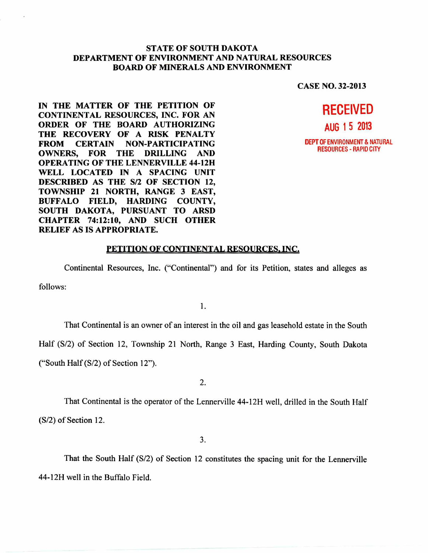## **STATE OF SOUTH DAKOTA DEPARTMENT OF ENVIRONMENT AND NATURAL RESOURCES BOARD OF MINERALS AND ENVIRONMENT**

**CASE NO. 32-2013** 

**IN THE MATTER OF THE PETITION OF CONTINENTAL RESOURCES, INC. FOR AN ORDER OF THE BOARD AUTHORIZING THE RECOVERY OF A RISK PENALTY FROM CERTAIN NON-PARTICIPATING OWNERS, FOR THE DRILLING AND OPERATING OF THE LENNERVILLE 44-12H WELL LOCATED IN A SPACING UNIT DESCRIBED AS THE S/2 OF SECTION 12, TOWNSHIP 21 NORTH, RANGE 3 EAST, BUFFALO FIELD, HARDING COUNTY, SOUTH DAKOTA, PURSUANT TO ARSD CHAPTER 74:12:10, AND SUCH OTHER RELIEF AS IS APPROPRIATE.** 



## **PETITION OF CONTINENTAL RESOURCES, INC.**

Continental Resources, Inc. ("Continental") and for its Petition, states and alleges as follows:

1.

That Continental is an owner of an interest in the oil and gas leasehold estate in the South

Half (S/2) of Section 12, Township 21 North, Range 3 East, Harding County, South Dakota

("South Half (S/2) of Section 12").

2.

That Continental is the operator of the Lennerville 44-12H well, drilled in the South Half (S/2) of Section 12.

3.

That the South Half (S/2) of Section 12 constitutes the spacing unit for the Lennerville 44-12H well in the Buffalo Field.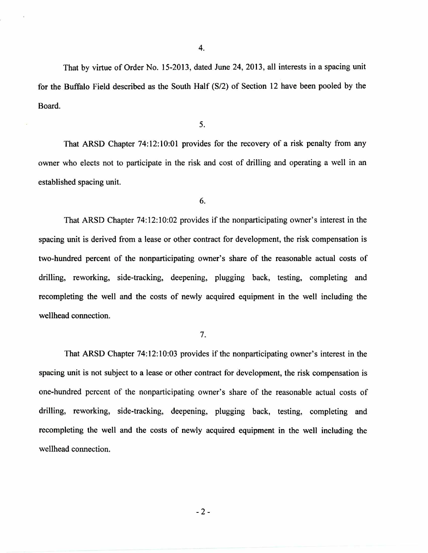That by virtue of Order No. 15-2013, dated June 24, 2013, all interests in a spacing unit for the Buffalo Field described as the South Half (S/2) of Section 12 have been pooled by the Board.

5.

That ARSD Chapter 74:12:10:01 provides for the recovery of a risk penalty from any owner who elects not to participate in the risk and cost of drilling and operating a well in an established spacing unit.

6.

That ARSD Chapter 74:12:10:02 provides if the nonparticipating owner's interest in the spacing unit is derived from a lease or other contract for development, the risk compensation is two-hundred percent of the nonparticipating owner's share of the reasonable actual costs of drilling, reworking, side-tracking, deepening, plugging back, testing, completing and recompleting the well and the costs of newly acquired equipment in the well including the wellhead connection.

7.

That ARSD Chapter 74:12:10:03 provides if the nonparticipating owner's interest in the spacing unit is not subject to a lease or other contract for development, the risk compensation is one-hundred percent of the nonparticipating owner's share of the reasonable actual costs of drilling, reworking, side-tracking, deepening, plugging back, testing, completing and recompleting the well and the costs of newly acquired equipment in the well including the wellhead connection.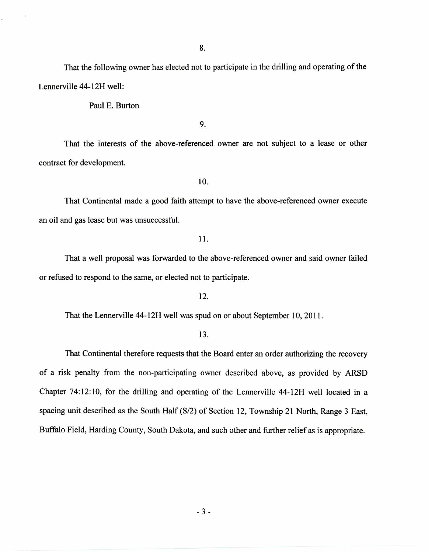That the following owner has elected not to participate in the drilling and operating of the Lennerville 44-12H well:

Paul E. Burton

9.

That the interests of the above-referenced owner are not subject to a lease or other contract for development.

10.

That Continental made a good faith attempt to have the above-referenced owner execute an oil and gas lease but was unsuccessful.

11.

That a well proposal was forwarded to the above-referenced owner and said owner failed or refused to respond to the same, or elected not to participate.

12.

That the Lennerville 44-12H well was spud on or about September 10, 2011.

## 13.

That Continental therefore requests that the Board enter an order authorizing the recovery of a risk penalty from the non-participating owner described above, as provided by ARSD Chapter 74:12:10, for the drilling and operating of the Lennerville 44-12H well located in a spacing unit described as the South Half (S/2) of Section 12, Township 21 North, Range 3 East, Buffalo Field, Harding County, South Dakota, and such other and further relief as is appropriate.